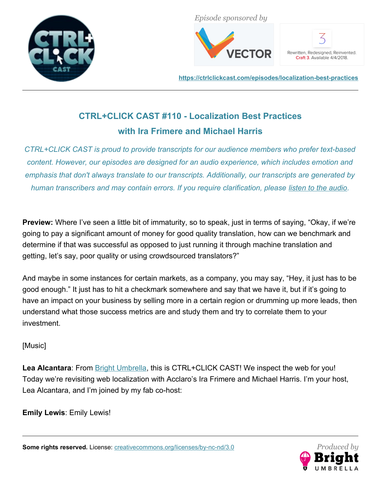



Rewritten, Redesigned, Reinvented. Craft 3. Available 4/4/2018.

**<https://ctrlclickcast.com/episodes/localization-best-practices>**

# **CTRL+CLICK CAST #110 - Localization Best Practices with Ira Frimere and Michael Harris**

*CTRL+CLICK CAST is proud to provide transcripts for our audience members who prefer text-based content. However, our episodes are designed for an audio experience, which includes emotion and emphasis that don't always translate to our transcripts. Additionally, our transcripts are generated by human transcribers and may contain errors. If you require clarification, please [listen to the audio.](https://ctrlclickcast.com/episodes/localization-best-practices)*

**Preview:** Where I've seen a little bit of immaturity, so to speak, just in terms of saying, "Okay, if we're going to pay a significant amount of money for good quality translation, how can we benchmark and determine if that was successful as opposed to just running it through machine translation and getting, let's say, poor quality or using crowdsourced translators?"

And maybe in some instances for certain markets, as a company, you may say, "Hey, it just has to be good enough." It just has to hit a checkmark somewhere and say that we have it, but if it's going to have an impact on your business by selling more in a certain region or drumming up more leads, then understand what those success metrics are and study them and try to correlate them to your investment.

# [Music]

Lea Alcantara: From **Bright Umbrella**, this is CTRL+CLICK CAST! We inspect the web for you! Today we're revisiting web localization with Acclaro's Ira Frimere and Michael Harris. I'm your host, Lea Alcantara, and I'm joined by my fab co-host:

**Emily Lewis**: Emily Lewis!

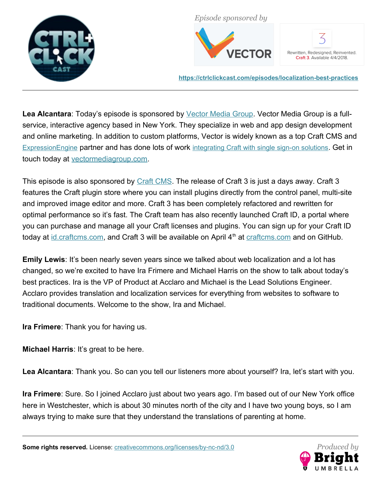



Rewritten, Redesigned, Reinvented. Craft 3. Available 4/4/2018.

**<https://ctrlclickcast.com/episodes/localization-best-practices>**

Lea Alcantara: Today's episode is sponsored by *Vector Media Group*. Vector Media Group is a fullservice, interactive agency based in New York. They specialize in web and app design development and online marketing. In addition to custom platforms, Vector is widely known as a top Craft CMS and [ExpressionEngine](https://www.vectormediagroup.com/experience/expressionengine-development) partner and has done lots of work [integrating Craft with single sign-on solutions](https://www.vectormediagroup.com/experience/craft-cms-single-sign-on-integration). Get in touch today at [vectormediagroup.com.](http://www.vectormediagroup.com/)

This episode is also sponsored by [Craft CMS.](https://craftcms.com/?utm_source=CTRLCLICK&utm_content=Craft%203%20and%20Craft%20ID) The release of Craft 3 is just a days away. Craft 3 features the Craft plugin store where you can install plugins directly from the control panel, multi-site and improved image editor and more. Craft 3 has been completely refactored and rewritten for optimal performance so it's fast. The Craft team has also recently launched Craft ID, a portal where you can purchase and manage all your Craft licenses and plugins. You can sign up for your Craft ID today at  $id.craffcms.com$ , and Craft 3 will be available on April  $4<sup>th</sup>$  at  $craffcms.com$  and on GitHub.

**Emily Lewis:** It's been nearly seven years since we talked about web localization and a lot has changed, so we're excited to have Ira Frimere and Michael Harris on the show to talk about today's best practices. Ira is the VP of Product at Acclaro and Michael is the Lead Solutions Engineer. Acclaro provides translation and localization services for everything from websites to software to traditional documents. Welcome to the show, Ira and Michael.

**Ira Frimere**: Thank you for having us.

**Michael Harris**: It's great to be here.

Lea Alcantara: Thank you. So can you tell our listeners more about yourself? Ira, let's start with you.

**Ira Frimere**: Sure. So I joined Acclaro just about two years ago. I'm based out of our New York office here in Westchester, which is about 30 minutes north of the city and I have two young boys, so I am always trying to make sure that they understand the translations of parenting at home.

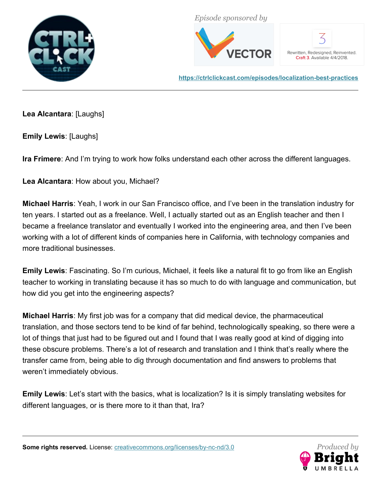



Rewritten, Redesigned, Reinvented. Craft 3. Available 4/4/2018.

**<https://ctrlclickcast.com/episodes/localization-best-practices>**

**Lea Alcantara**: [Laughs]

**Emily Lewis**: [Laughs]

**Ira Frimere**: And I'm trying to work how folks understand each other across the different languages.

**Lea Alcantara**: How about you, Michael?

**Michael Harris**: Yeah, I work in our San Francisco office, and I've been in the translation industry for ten years. I started out as a freelance. Well, I actually started out as an English teacher and then I became a freelance translator and eventually I worked into the engineering area, and then I've been working with a lot of different kinds of companies here in California, with technology companies and more traditional businesses.

**Emily Lewis**: Fascinating. So I'm curious, Michael, it feels like a natural fit to go from like an English teacher to working in translating because it has so much to do with language and communication, but how did you get into the engineering aspects?

**Michael Harris**: My first job was for a company that did medical device, the pharmaceutical translation, and those sectors tend to be kind of far behind, technologically speaking, so there were a lot of things that just had to be figured out and I found that I was really good at kind of digging into these obscure problems. There's a lot of research and translation and I think that's really where the transfer came from, being able to dig through documentation and find answers to problems that weren't immediately obvious.

**Emily Lewis**: Let's start with the basics, what is localization? Is it is simply translating websites for different languages, or is there more to it than that, Ira?

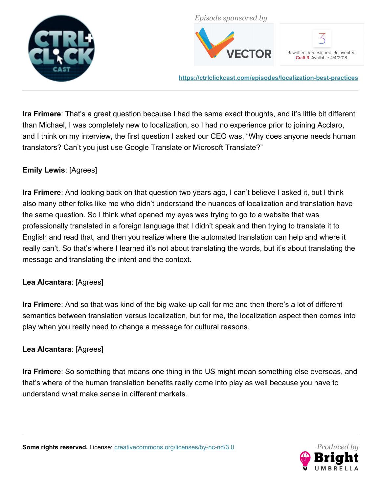



Rewritten, Redesigned, Reinvented. Craft 3. Available 4/4/2018.

**<https://ctrlclickcast.com/episodes/localization-best-practices>**

**Ira Frimere**: That's a great question because I had the same exact thoughts, and it's little bit different than Michael, I was completely new to localization, so I had no experience prior to joining Acclaro, and I think on my interview, the first question I asked our CEO was, "Why does anyone needs human translators? Can't you just use Google Translate or Microsoft Translate?"

## **Emily Lewis**: [Agrees]

**Ira Frimere**: And looking back on that question two years ago, I can't believe I asked it, but I think also many other folks like me who didn't understand the nuances of localization and translation have the same question. So I think what opened my eyes was trying to go to a website that was professionally translated in a foreign language that I didn't speak and then trying to translate it to English and read that, and then you realize where the automated translation can help and where it really can't. So that's where I learned it's not about translating the words, but it's about translating the message and translating the intent and the context.

## **Lea Alcantara**: [Agrees]

**Ira Frimere**: And so that was kind of the big wake-up call for me and then there's a lot of different semantics between translation versus localization, but for me, the localization aspect then comes into play when you really need to change a message for cultural reasons.

## **Lea Alcantara**: [Agrees]

**Ira Frimere**: So something that means one thing in the US might mean something else overseas, and that's where of the human translation benefits really come into play as well because you have to understand what make sense in different markets.

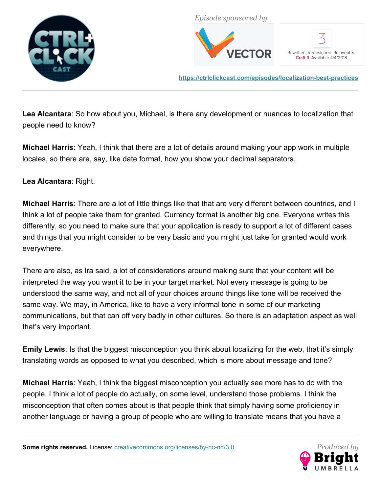



Rewritten, Redesigned, Reinvented. Craft 3. Available 4/4/2018.

**<https://ctrlclickcast.com/episodes/localization-best-practices>**

**Lea Alcantara**: So how about you, Michael, is there any development or nuances to localization that people need to know?

**Michael Harris**: Yeah, I think that there are a lot of details around making your app work in multiple locales, so there are, say, like date format, how you show your decimal separators.

## **Lea Alcantara**: Right.

**Michael Harris**: There are a lot of little things like that that are very different between countries, and I think a lot of people take them for granted. Currency format is another big one. Everyone writes this differently, so you need to make sure that your application is ready to support a lot of different cases and things that you might consider to be very basic and you might just take for granted would work everywhere.

There are also, as Ira said, a lot of considerations around making sure that your content will be interpreted the way you want it to be in your target market. Not every message is going to be understood the same way, and not all of your choices around things like tone will be received the same way. We may, in America, like to have a very informal tone in some of our marketing communications, but that can off very badly in other cultures. So there is an adaptation aspect as well that's very important.

**Emily Lewis**: Is that the biggest misconception you think about localizing for the web, that it's simply translating words as opposed to what you described, which is more about message and tone?

**Michael Harris**: Yeah, I think the biggest misconception you actually see more has to do with the people. I think a lot of people do actually, on some level, understand those problems. I think the misconception that often comes about is that people think that simply having some proficiency in another language or having a group of people who are willing to translate means that you have a

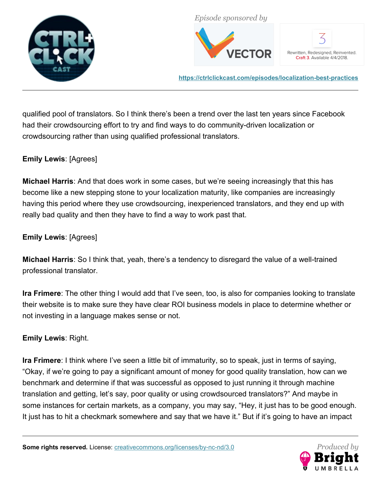



Rewritten, Redesigned, Reinvented. Craft 3. Available 4/4/2018.

**<https://ctrlclickcast.com/episodes/localization-best-practices>**

qualified pool of translators. So I think there's been a trend over the last ten years since Facebook had their crowdsourcing effort to try and find ways to do community-driven localization or crowdsourcing rather than using qualified professional translators.

## **Emily Lewis**: [Agrees]

**Michael Harris**: And that does work in some cases, but we're seeing increasingly that this has become like a new stepping stone to your localization maturity, like companies are increasingly having this period where they use crowdsourcing, inexperienced translators, and they end up with really bad quality and then they have to find a way to work past that.

## **Emily Lewis**: [Agrees]

**Michael Harris**: So I think that, yeah, there's a tendency to disregard the value of a well-trained professional translator.

**Ira Frimere**: The other thing I would add that I've seen, too, is also for companies looking to translate their website is to make sure they have clear ROI business models in place to determine whether or not investing in a language makes sense or not.

## **Emily Lewis**: Right.

**Ira Frimere**: I think where I've seen a little bit of immaturity, so to speak, just in terms of saying, "Okay, if we're going to pay a significant amount of money for good quality translation, how can we benchmark and determine if that was successful as opposed to just running it through machine translation and getting, let's say, poor quality or using crowdsourced translators?" And maybe in some instances for certain markets, as a company, you may say, "Hey, it just has to be good enough. It just has to hit a checkmark somewhere and say that we have it." But if it's going to have an impact

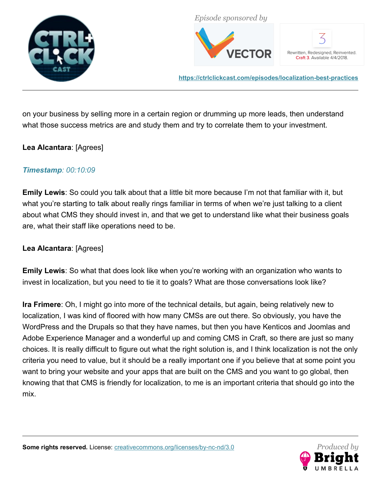



Rewritten, Redesigned, Reinvented. Craft 3. Available 4/4/2018.

**<https://ctrlclickcast.com/episodes/localization-best-practices>**

on your business by selling more in a certain region or drumming up more leads, then understand what those success metrics are and study them and try to correlate them to your investment.

## **Lea Alcantara**: [Agrees]

## *Timestamp: 00:10:09*

**Emily Lewis**: So could you talk about that a little bit more because I'm not that familiar with it, but what you're starting to talk about really rings familiar in terms of when we're just talking to a client about what CMS they should invest in, and that we get to understand like what their business goals are, what their staff like operations need to be.

## **Lea Alcantara**: [Agrees]

**Emily Lewis**: So what that does look like when you're working with an organization who wants to invest in localization, but you need to tie it to goals? What are those conversations look like?

**Ira Frimere**: Oh, I might go into more of the technical details, but again, being relatively new to localization, I was kind of floored with how many CMSs are out there. So obviously, you have the WordPress and the Drupals so that they have names, but then you have Kenticos and Joomlas and Adobe Experience Manager and a wonderful up and coming CMS in Craft, so there are just so many choices. It is really difficult to figure out what the right solution is, and I think localization is not the only criteria you need to value, but it should be a really important one if you believe that at some point you want to bring your website and your apps that are built on the CMS and you want to go global, then knowing that that CMS is friendly for localization, to me is an important criteria that should go into the mix.

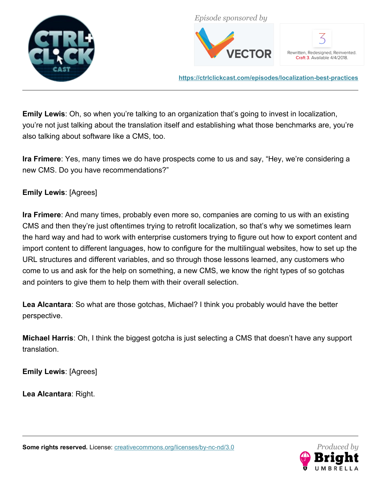



Rewritten, Redesigned, Reinvented. Craft 3. Available 4/4/2018.

**<https://ctrlclickcast.com/episodes/localization-best-practices>**

**Emily Lewis**: Oh, so when you're talking to an organization that's going to invest in localization, you're not just talking about the translation itself and establishing what those benchmarks are, you're also talking about software like a CMS, too.

**Ira Frimere**: Yes, many times we do have prospects come to us and say, "Hey, we're considering a new CMS. Do you have recommendations?"

# **Emily Lewis**: [Agrees]

**Ira Frimere**: And many times, probably even more so, companies are coming to us with an existing CMS and then they're just oftentimes trying to retrofit localization, so that's why we sometimes learn the hard way and had to work with enterprise customers trying to figure out how to export content and import content to different languages, how to configure for the multilingual websites, how to set up the URL structures and different variables, and so through those lessons learned, any customers who come to us and ask for the help on something, a new CMS, we know the right types of so gotchas and pointers to give them to help them with their overall selection.

**Lea Alcantara**: So what are those gotchas, Michael? I think you probably would have the better perspective.

**Michael Harris**: Oh, I think the biggest gotcha is just selecting a CMS that doesn't have any support translation.

**Emily Lewis**: [Agrees]

**Lea Alcantara**: Right.

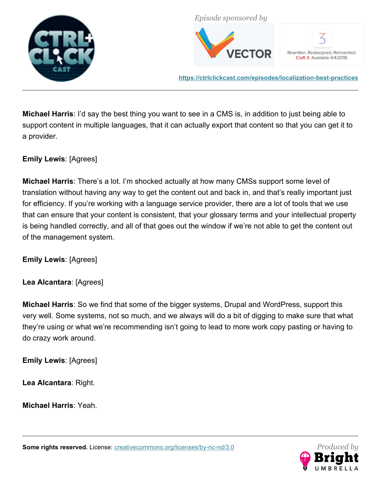



Rewritten, Redesigned, Reinvented. Craft 3. Available 4/4/2018.

**<https://ctrlclickcast.com/episodes/localization-best-practices>**

**Michael Harris**: I'd say the best thing you want to see in a CMS is, in addition to just being able to support content in multiple languages, that it can actually export that content so that you can get it to a provider.

## **Emily Lewis**: [Agrees]

**Michael Harris**: There's a lot. I'm shocked actually at how many CMSs support some level of translation without having any way to get the content out and back in, and that's really important just for efficiency. If you're working with a language service provider, there are a lot of tools that we use that can ensure that your content is consistent, that your glossary terms and your intellectual property is being handled correctly, and all of that goes out the window if we're not able to get the content out of the management system.

**Emily Lewis**: [Agrees]

## **Lea Alcantara**: [Agrees]

**Michael Harris**: So we find that some of the bigger systems, Drupal and WordPress, support this very well. Some systems, not so much, and we always will do a bit of digging to make sure that what they're using or what we're recommending isn't going to lead to more work copy pasting or having to do crazy work around.

**Emily Lewis**: [Agrees]

**Lea Alcantara**: Right.

**Michael Harris**: Yeah.

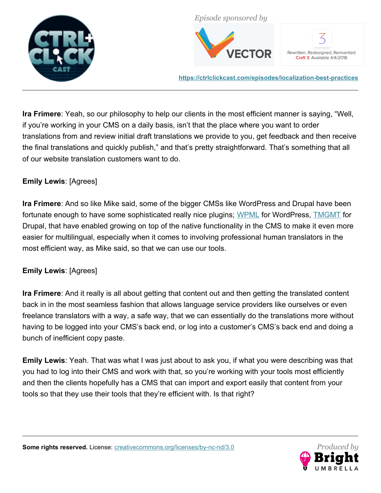



Rewritten, Redesigned, Reinvented. Craft 3. Available 4/4/2018.

**<https://ctrlclickcast.com/episodes/localization-best-practices>**

**Ira Frimere**: Yeah, so our philosophy to help our clients in the most efficient manner is saying, "Well, if you're working in your CMS on a daily basis, isn't that the place where you want to order translations from and review initial draft translations we provide to you, get feedback and then receive the final translations and quickly publish," and that's pretty straightforward. That's something that all of our website translation customers want to do.

# **Emily Lewis**: [Agrees]

**Ira Frimere**: And so like Mike said, some of the bigger CMSs like WordPress and Drupal have been fortunate enough to have some sophisticated really nice plugins; [WPML](https://wpml.org/) for WordPress, [TMGMT](https://www.drupal.org/project/tmgmt) for Drupal, that have enabled growing on top of the native functionality in the CMS to make it even more easier for multilingual, especially when it comes to involving professional human translators in the most efficient way, as Mike said, so that we can use our tools.

## **Emily Lewis**: [Agrees]

**Ira Frimere**: And it really is all about getting that content out and then getting the translated content back in in the most seamless fashion that allows language service providers like ourselves or even freelance translators with a way, a safe way, that we can essentially do the translations more without having to be logged into your CMS's back end, or log into a customer's CMS's back end and doing a bunch of inefficient copy paste.

**Emily Lewis**: Yeah. That was what I was just about to ask you, if what you were describing was that you had to log into their CMS and work with that, so you're working with your tools most efficiently and then the clients hopefully has a CMS that can import and export easily that content from your tools so that they use their tools that they're efficient with. Is that right?

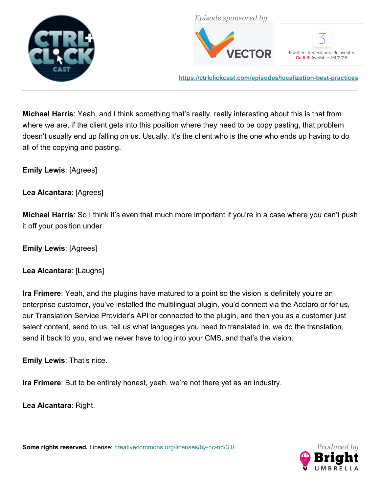



Rewritten, Redesigned, Reinvented. Craft 3. Available 4/4/2018.

**<https://ctrlclickcast.com/episodes/localization-best-practices>**

**Michael Harris**: Yeah, and I think something that's really, really interesting about this is that from where we are, if the client gets into this position where they need to be copy pasting, that problem doesn't usually end up falling on us. Usually, it's the client who is the one who ends up having to do all of the copying and pasting.

**Emily Lewis**: [Agrees]

**Lea Alcantara**: [Agrees]

**Michael Harris**: So I think it's even that much more important if you're in a case where you can't push it off your position under.

**Emily Lewis**: [Agrees]

**Lea Alcantara**: [Laughs]

**Ira Frimere**: Yeah, and the plugins have matured to a point so the vision is definitely you're an enterprise customer, you've installed the multilingual plugin, you'd connect via the Acclaro or for us, our Translation Service Provider's API or connected to the plugin, and then you as a customer just select content, send to us, tell us what languages you need to translated in, we do the translation, send it back to you, and we never have to log into your CMS, and that's the vision.

**Emily Lewis**: That's nice.

**Ira Frimere**: But to be entirely honest, yeah, we're not there yet as an industry.

**Lea Alcantara**: Right.

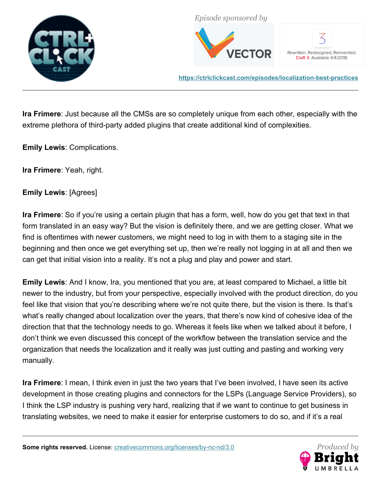



Rewritten, Redesigned, Reinvented. Craft 3. Available 4/4/2018.

**<https://ctrlclickcast.com/episodes/localization-best-practices>**

**Ira Frimere**: Just because all the CMSs are so completely unique from each other, especially with the extreme plethora of third-party added plugins that create additional kind of complexities.

**Emily Lewis**: Complications.

**Ira Frimere**: Yeah, right.

**Emily Lewis**: [Agrees]

**Ira Frimere**: So if you're using a certain plugin that has a form, well, how do you get that text in that form translated in an easy way? But the vision is definitely there, and we are getting closer. What we find is oftentimes with newer customers, we might need to log in with them to a staging site in the beginning and then once we get everything set up, then we're really not logging in at all and then we can get that initial vision into a reality. It's not a plug and play and power and start.

**Emily Lewis**: And I know, Ira, you mentioned that you are, at least compared to Michael, a little bit newer to the industry, but from your perspective, especially involved with the product direction, do you feel like that vision that you're describing where we're not quite there, but the vision is there. Is that's what's really changed about localization over the years, that there's now kind of cohesive idea of the direction that that the technology needs to go. Whereas it feels like when we talked about it before, I don't think we even discussed this concept of the workflow between the translation service and the organization that needs the localization and it really was just cutting and pasting and working very manually.

**Ira Frimere**: I mean, I think even in just the two years that I've been involved, I have seen its active development in those creating plugins and connectors for the LSPs (Language Service Providers), so I think the LSP industry is pushing very hard, realizing that if we want to continue to get business in translating websites, we need to make it easier for enterprise customers to do so, and if it's a real

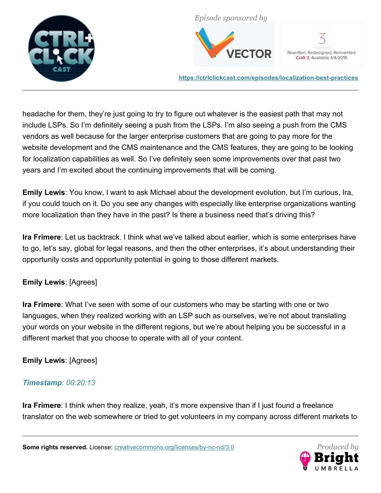



Rewritten, Redesigned, Reinvented. Craft 3. Available 4/4/2018.

**<https://ctrlclickcast.com/episodes/localization-best-practices>**

headache for them, they're just going to try to figure out whatever is the easiest path that may not include LSPs. So I'm definitely seeing a push from the LSPs. I'm also seeing a push from the CMS vendors as well because for the larger enterprise customers that are going to pay more for the website development and the CMS maintenance and the CMS features, they are going to be looking for localization capabilities as well. So I've definitely seen some improvements over that past two years and I'm excited about the continuing improvements that will be coming.

**Emily Lewis**: You know, I want to ask Michael about the development evolution, but I'm curious, Ira, if you could touch on it. Do you see any changes with especially like enterprise organizations wanting more localization than they have in the past? Is there a business need that's driving this?

**Ira Frimere**: Let us backtrack. I think what we've talked about earlier, which is some enterprises have to go, let's say, global for legal reasons, and then the other enterprises, it's about understanding their opportunity costs and opportunity potential in going to those different markets.

# **Emily Lewis**: [Agrees]

**Ira Frimere**: What I've seen with some of our customers who may be starting with one or two languages, when they realized working with an LSP such as ourselves, we're not about translating your words on your website in the different regions, but we're about helping you be successful in a different market that you choose to operate with all of your content.

# **Emily Lewis**: [Agrees]

# *Timestamp: 00:20:13*

**Ira Frimere**: I think when they realize, yeah, it's more expensive than if I just found a freelance translator on the web somewhere or tried to get volunteers in my company across different markets to

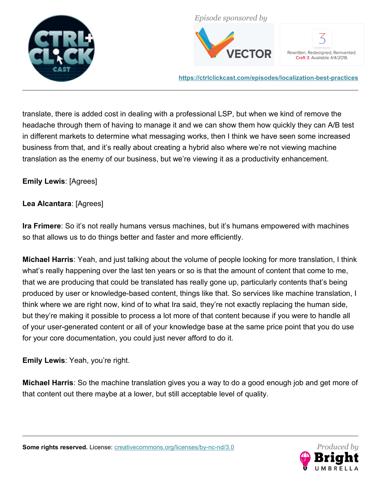



Rewritten, Redesigned, Reinvented. Craft 3. Available 4/4/2018.

**<https://ctrlclickcast.com/episodes/localization-best-practices>**

translate, there is added cost in dealing with a professional LSP, but when we kind of remove the headache through them of having to manage it and we can show them how quickly they can A/B test in different markets to determine what messaging works, then I think we have seen some increased business from that, and it's really about creating a hybrid also where we're not viewing machine translation as the enemy of our business, but we're viewing it as a productivity enhancement.

# **Emily Lewis**: [Agrees]

## **Lea Alcantara**: [Agrees]

**Ira Frimere**: So it's not really humans versus machines, but it's humans empowered with machines so that allows us to do things better and faster and more efficiently.

**Michael Harris**: Yeah, and just talking about the volume of people looking for more translation, I think what's really happening over the last ten years or so is that the amount of content that come to me, that we are producing that could be translated has really gone up, particularly contents that's being produced by user or knowledge-based content, things like that. So services like machine translation, I think where we are right now, kind of to what Ira said, they're not exactly replacing the human side, but they're making it possible to process a lot more of that content because if you were to handle all of your user-generated content or all of your knowledge base at the same price point that you do use for your core documentation, you could just never afford to do it.

**Emily Lewis**: Yeah, you're right.

**Michael Harris**: So the machine translation gives you a way to do a good enough job and get more of that content out there maybe at a lower, but still acceptable level of quality.

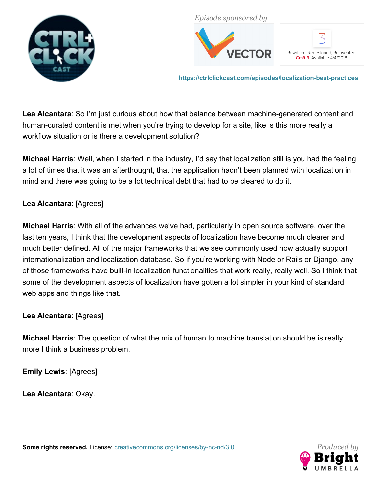



Rewritten, Redesigned, Reinvented. Craft 3. Available 4/4/2018.

**<https://ctrlclickcast.com/episodes/localization-best-practices>**

**Lea Alcantara**: So I'm just curious about how that balance between machine-generated content and human-curated content is met when you're trying to develop for a site, like is this more really a workflow situation or is there a development solution?

**Michael Harris**: Well, when I started in the industry, I'd say that localization still is you had the feeling a lot of times that it was an afterthought, that the application hadn't been planned with localization in mind and there was going to be a lot technical debt that had to be cleared to do it.

# **Lea Alcantara**: [Agrees]

**Michael Harris**: With all of the advances we've had, particularly in open source software, over the last ten years, I think that the development aspects of localization have become much clearer and much better defined. All of the major frameworks that we see commonly used now actually support internationalization and localization database. So if you're working with Node or Rails or Django, any of those frameworks have built-in localization functionalities that work really, really well. So I think that some of the development aspects of localization have gotten a lot simpler in your kind of standard web apps and things like that.

## **Lea Alcantara**: [Agrees]

**Michael Harris**: The question of what the mix of human to machine translation should be is really more I think a business problem.

**Emily Lewis**: [Agrees]

**Lea Alcantara**: Okay.

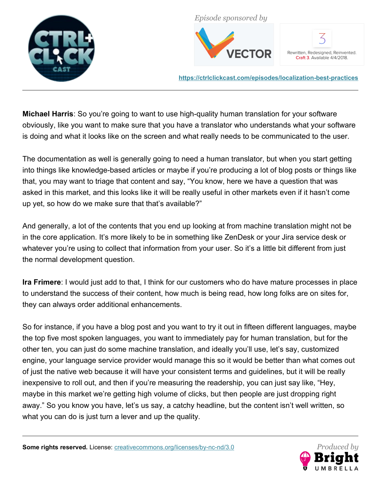



Rewritten, Redesigned, Reinvented. Craft 3. Available 4/4/2018.

**<https://ctrlclickcast.com/episodes/localization-best-practices>**

**Michael Harris**: So you're going to want to use high-quality human translation for your software obviously, like you want to make sure that you have a translator who understands what your software is doing and what it looks like on the screen and what really needs to be communicated to the user.

The documentation as well is generally going to need a human translator, but when you start getting into things like knowledge-based articles or maybe if you're producing a lot of blog posts or things like that, you may want to triage that content and say, "You know, here we have a question that was asked in this market, and this looks like it will be really useful in other markets even if it hasn't come up yet, so how do we make sure that that's available?"

And generally, a lot of the contents that you end up looking at from machine translation might not be in the core application. It's more likely to be in something like ZenDesk or your Jira service desk or whatever you're using to collect that information from your user. So it's a little bit different from just the normal development question.

**Ira Frimere**: I would just add to that, I think for our customers who do have mature processes in place to understand the success of their content, how much is being read, how long folks are on sites for, they can always order additional enhancements.

So for instance, if you have a blog post and you want to try it out in fifteen different languages, maybe the top five most spoken languages, you want to immediately pay for human translation, but for the other ten, you can just do some machine translation, and ideally you'll use, let's say, customized engine, your language service provider would manage this so it would be better than what comes out of just the native web because it will have your consistent terms and guidelines, but it will be really inexpensive to roll out, and then if you're measuring the readership, you can just say like, "Hey, maybe in this market we're getting high volume of clicks, but then people are just dropping right away." So you know you have, let's us say, a catchy headline, but the content isn't well written, so what you can do is just turn a lever and up the quality.

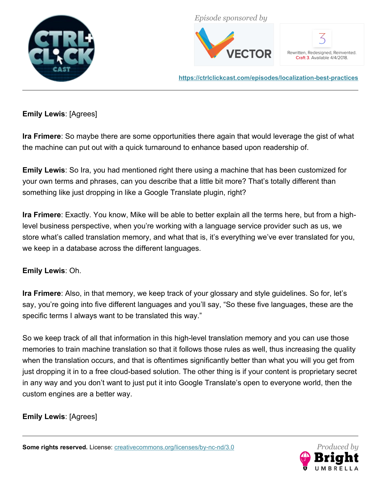



Rewritten, Redesigned, Reinvented. Craft 3. Available 4/4/2018.

**<https://ctrlclickcast.com/episodes/localization-best-practices>**

# **Emily Lewis**: [Agrees]

**Ira Frimere**: So maybe there are some opportunities there again that would leverage the gist of what the machine can put out with a quick turnaround to enhance based upon readership of.

**Emily Lewis**: So Ira, you had mentioned right there using a machine that has been customized for your own terms and phrases, can you describe that a little bit more? That's totally different than something like just dropping in like a Google Translate plugin, right?

**Ira Frimere**: Exactly. You know, Mike will be able to better explain all the terms here, but from a highlevel business perspective, when you're working with a language service provider such as us, we store what's called translation memory, and what that is, it's everything we've ever translated for you, we keep in a database across the different languages.

## **Emily Lewis**: Oh.

**Ira Frimere**: Also, in that memory, we keep track of your glossary and style guidelines. So for, let's say, you're going into five different languages and you'll say, "So these five languages, these are the specific terms I always want to be translated this way."

So we keep track of all that information in this high-level translation memory and you can use those memories to train machine translation so that it follows those rules as well, thus increasing the quality when the translation occurs, and that is oftentimes significantly better than what you will you get from just dropping it in to a free cloud-based solution. The other thing is if your content is proprietary secret in any way and you don't want to just put it into Google Translate's open to everyone world, then the custom engines are a better way.

**Emily Lewis**: [Agrees]

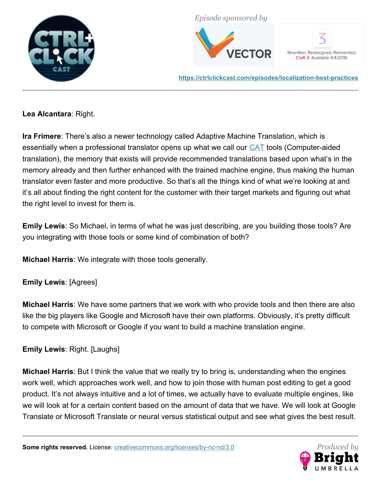



Rewritten, Redesigned, Reinvented. Craft 3. Available 4/4/2018.

**<https://ctrlclickcast.com/episodes/localization-best-practices>**

**Lea Alcantara**: Right.

**Ira Frimere**: There's also a newer technology called Adaptive Machine Translation, which is essentially when a professional translator opens up what we call our [CAT](https://en.wikipedia.org/wiki/Computer-assisted_translation) tools (Computer-aided translation), the memory that exists will provide recommended translations based upon what's in the memory already and then further enhanced with the trained machine engine, thus making the human translator even faster and more productive. So that's all the things kind of what we're looking at and it's all about finding the right content for the customer with their target markets and figuring out what the right level to invest for them is.

**Emily Lewis**: So Michael, in terms of what he was just describing, are you building those tools? Are you integrating with those tools or some kind of combination of both?

**Michael Harris**: We integrate with those tools generally.

**Emily Lewis**: [Agrees]

**Michael Harris**: We have some partners that we work with who provide tools and then there are also like the big players like Google and Microsoft have their own platforms. Obviously, it's pretty difficult to compete with Microsoft or Google if you want to build a machine translation engine.

**Emily Lewis**: Right. [Laughs]

**Michael Harris**: But I think the value that we really try to bring is, understanding when the engines work well, which approaches work well, and how to join those with human post editing to get a good product. It's not always intuitive and a lot of times, we actually have to evaluate multiple engines, like we will look at for a certain content based on the amount of data that we have. We will look at Google Translate or Microsoft Translate or neural versus statistical output and see what gives the best result.

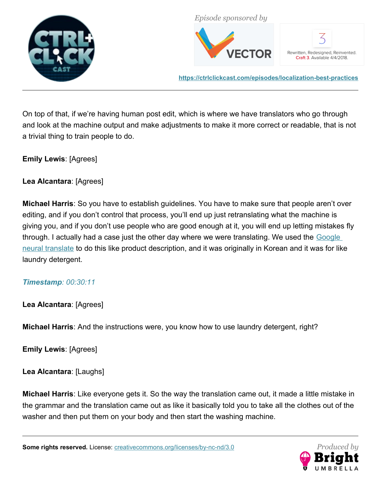



Rewritten, Redesigned, Reinvented. Craft 3. Available 4/4/2018.

**<https://ctrlclickcast.com/episodes/localization-best-practices>**

On top of that, if we're having human post edit, which is where we have translators who go through and look at the machine output and make adjustments to make it more correct or readable, that is not a trivial thing to train people to do.

## **Emily Lewis**: [Agrees]

**Lea Alcantara**: [Agrees]

**Michael Harris**: So you have to establish guidelines. You have to make sure that people aren't over editing, and if you don't control that process, you'll end up just retranslating what the machine is giving you, and if you don't use people who are good enough at it, you will end up letting mistakes fly through. I actually had a case just the other day where we were translating. We used the Google [neural translate](https://en.wikipedia.org/wiki/Google_Neural_Machine_Translation) to do this like product description, and it was originally in Korean and it was for like laundry detergent.

## *Timestamp: 00:30:11*

**Lea Alcantara**: [Agrees]

**Michael Harris**: And the instructions were, you know how to use laundry detergent, right?

**Emily Lewis**: [Agrees]

**Lea Alcantara**: [Laughs]

**Michael Harris**: Like everyone gets it. So the way the translation came out, it made a little mistake in the grammar and the translation came out as like it basically told you to take all the clothes out of the washer and then put them on your body and then start the washing machine.

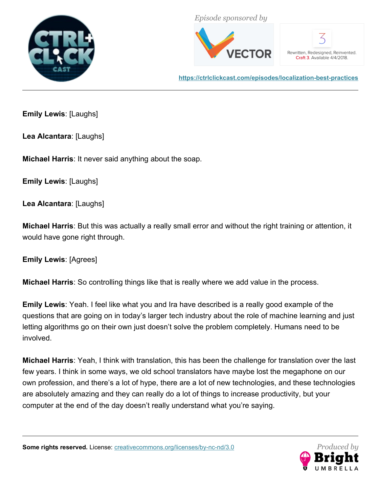



Rewritten, Redesigned, Reinvented. Craft 3. Available 4/4/2018.

**<https://ctrlclickcast.com/episodes/localization-best-practices>**

**Emily Lewis**: [Laughs]

**Lea Alcantara**: [Laughs]

**Michael Harris**: It never said anything about the soap.

**Emily Lewis**: [Laughs]

**Lea Alcantara**: [Laughs]

**Michael Harris**: But this was actually a really small error and without the right training or attention, it would have gone right through.

**Emily Lewis**: [Agrees]

**Michael Harris**: So controlling things like that is really where we add value in the process.

**Emily Lewis**: Yeah. I feel like what you and Ira have described is a really good example of the questions that are going on in today's larger tech industry about the role of machine learning and just letting algorithms go on their own just doesn't solve the problem completely. Humans need to be involved.

**Michael Harris**: Yeah, I think with translation, this has been the challenge for translation over the last few years. I think in some ways, we old school translators have maybe lost the megaphone on our own profession, and there's a lot of hype, there are a lot of new technologies, and these technologies are absolutely amazing and they can really do a lot of things to increase productivity, but your computer at the end of the day doesn't really understand what you're saying.

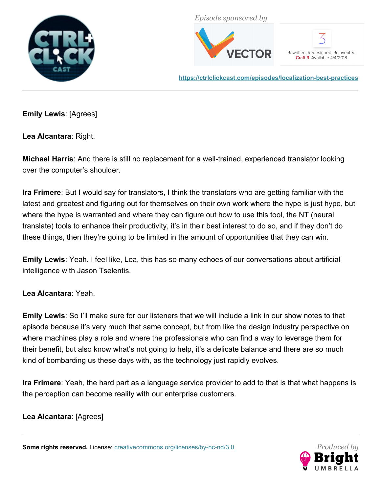



Rewritten, Redesigned, Reinvented. Craft 3. Available 4/4/2018.

**<https://ctrlclickcast.com/episodes/localization-best-practices>**

**Emily Lewis**: [Agrees]

**Lea Alcantara**: Right.

**Michael Harris**: And there is still no replacement for a well-trained, experienced translator looking over the computer's shoulder.

**Ira Frimere**: But I would say for translators, I think the translators who are getting familiar with the latest and greatest and figuring out for themselves on their own work where the hype is just hype, but where the hype is warranted and where they can figure out how to use this tool, the NT (neural translate) tools to enhance their productivity, it's in their best interest to do so, and if they don't do these things, then they're going to be limited in the amount of opportunities that they can win.

**Emily Lewis**: Yeah. I feel like, Lea, this has so many echoes of our conversations about artificial intelligence with Jason Tselentis.

**Lea Alcantara**: Yeah.

**Emily Lewis**: So I'll make sure for our listeners that we will include a link in our show notes to that episode because it's very much that same concept, but from like the design industry perspective on where machines play a role and where the professionals who can find a way to leverage them for their benefit, but also know what's not going to help, it's a delicate balance and there are so much kind of bombarding us these days with, as the technology just rapidly evolves.

**Ira Frimere**: Yeah, the hard part as a language service provider to add to that is that what happens is the perception can become reality with our enterprise customers.

**Lea Alcantara**: [Agrees]

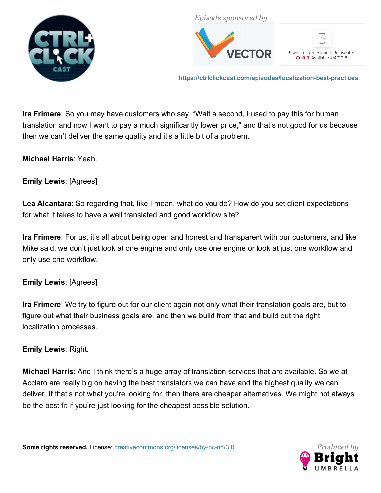



Rewritten, Redesigned, Reinvented. Craft 3. Available 4/4/2018.

**<https://ctrlclickcast.com/episodes/localization-best-practices>**

**Ira Frimere**: So you may have customers who say, "Wait a second, I used to pay this for human translation and now I want to pay a much significantly lower price," and that's not good for us because then we can't deliver the same quality and it's a little bit of a problem.

## **Michael Harris**: Yeah.

# **Emily Lewis**: [Agrees]

**Lea Alcantara**: So regarding that, like I mean, what do you do? How do you set client expectations for what it takes to have a well translated and good workflow site?

**Ira Frimere**: For us, it's all about being open and honest and transparent with our customers, and like Mike said, we don't just look at one engine and only use one engine or look at just one workflow and only use one workflow.

## **Emily Lewis**: [Agrees]

**Ira Frimere**: We try to figure out for our client again not only what their translation goals are, but to figure out what their business goals are, and then we build from that and build out the right localization processes.

## **Emily Lewis**: Right.

**Michael Harris**: And I think there's a huge array of translation services that are available. So we at Acclaro are really big on having the best translators we can have and the highest quality we can deliver. If that's not what you're looking for, then there are cheaper alternatives. We might not always be the best fit if you're just looking for the cheapest possible solution.

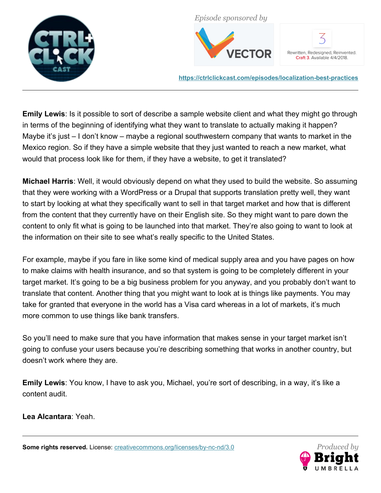



Rewritten, Redesigned, Reinvented. Craft 3. Available 4/4/2018.

**<https://ctrlclickcast.com/episodes/localization-best-practices>**

**Emily Lewis**: Is it possible to sort of describe a sample website client and what they might go through in terms of the beginning of identifying what they want to translate to actually making it happen? Maybe it's just – I don't know – maybe a regional southwestern company that wants to market in the Mexico region. So if they have a simple website that they just wanted to reach a new market, what would that process look like for them, if they have a website, to get it translated?

**Michael Harris**: Well, it would obviously depend on what they used to build the website. So assuming that they were working with a WordPress or a Drupal that supports translation pretty well, they want to start by looking at what they specifically want to sell in that target market and how that is different from the content that they currently have on their English site. So they might want to pare down the content to only fit what is going to be launched into that market. They're also going to want to look at the information on their site to see what's really specific to the United States.

For example, maybe if you fare in like some kind of medical supply area and you have pages on how to make claims with health insurance, and so that system is going to be completely different in your target market. It's going to be a big business problem for you anyway, and you probably don't want to translate that content. Another thing that you might want to look at is things like payments. You may take for granted that everyone in the world has a Visa card whereas in a lot of markets, it's much more common to use things like bank transfers.

So you'll need to make sure that you have information that makes sense in your target market isn't going to confuse your users because you're describing something that works in another country, but doesn't work where they are.

**Emily Lewis**: You know, I have to ask you, Michael, you're sort of describing, in a way, it's like a content audit.

**Lea Alcantara**: Yeah.

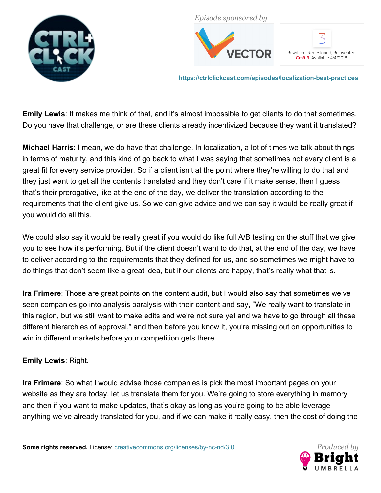



Rewritten, Redesigned, Reinvented. Craft 3. Available 4/4/2018.

**<https://ctrlclickcast.com/episodes/localization-best-practices>**

**Emily Lewis**: It makes me think of that, and it's almost impossible to get clients to do that sometimes. Do you have that challenge, or are these clients already incentivized because they want it translated?

**Michael Harris**: I mean, we do have that challenge. In localization, a lot of times we talk about things in terms of maturity, and this kind of go back to what I was saying that sometimes not every client is a great fit for every service provider. So if a client isn't at the point where they're willing to do that and they just want to get all the contents translated and they don't care if it make sense, then I guess that's their prerogative, like at the end of the day, we deliver the translation according to the requirements that the client give us. So we can give advice and we can say it would be really great if you would do all this.

We could also say it would be really great if you would do like full A/B testing on the stuff that we give you to see how it's performing. But if the client doesn't want to do that, at the end of the day, we have to deliver according to the requirements that they defined for us, and so sometimes we might have to do things that don't seem like a great idea, but if our clients are happy, that's really what that is.

**Ira Frimere**: Those are great points on the content audit, but I would also say that sometimes we've seen companies go into analysis paralysis with their content and say, "We really want to translate in this region, but we still want to make edits and we're not sure yet and we have to go through all these different hierarchies of approval," and then before you know it, you're missing out on opportunities to win in different markets before your competition gets there.

# **Emily Lewis**: Right.

**Ira Frimere**: So what I would advise those companies is pick the most important pages on your website as they are today, let us translate them for you. We're going to store everything in memory and then if you want to make updates, that's okay as long as you're going to be able leverage anything we've already translated for you, and if we can make it really easy, then the cost of doing the

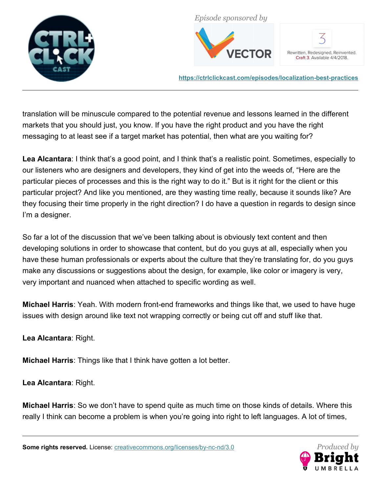



Rewritten, Redesigned, Reinvented. Craft 3. Available 4/4/2018.

**<https://ctrlclickcast.com/episodes/localization-best-practices>**

translation will be minuscule compared to the potential revenue and lessons learned in the different markets that you should just, you know. If you have the right product and you have the right messaging to at least see if a target market has potential, then what are you waiting for?

**Lea Alcantara**: I think that's a good point, and I think that's a realistic point. Sometimes, especially to our listeners who are designers and developers, they kind of get into the weeds of, "Here are the particular pieces of processes and this is the right way to do it." But is it right for the client or this particular project? And like you mentioned, are they wasting time really, because it sounds like? Are they focusing their time properly in the right direction? I do have a question in regards to design since I'm a designer.

So far a lot of the discussion that we've been talking about is obviously text content and then developing solutions in order to showcase that content, but do you guys at all, especially when you have these human professionals or experts about the culture that they're translating for, do you guys make any discussions or suggestions about the design, for example, like color or imagery is very, very important and nuanced when attached to specific wording as well.

**Michael Harris**: Yeah. With modern front-end frameworks and things like that, we used to have huge issues with design around like text not wrapping correctly or being cut off and stuff like that.

**Lea Alcantara**: Right.

**Michael Harris**: Things like that I think have gotten a lot better.

**Lea Alcantara**: Right.

**Michael Harris**: So we don't have to spend quite as much time on those kinds of details. Where this really I think can become a problem is when you're going into right to left languages. A lot of times,

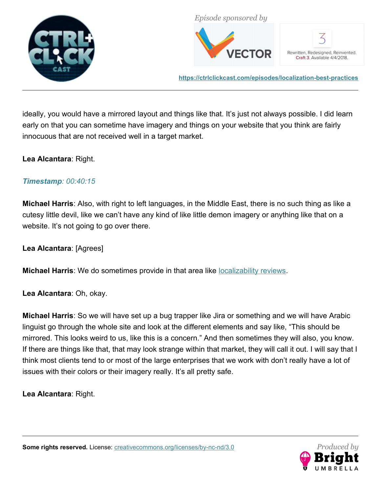



Rewritten, Redesigned, Reinvented. Craft 3. Available 4/4/2018.

**<https://ctrlclickcast.com/episodes/localization-best-practices>**

ideally, you would have a mirrored layout and things like that. It's just not always possible. I did learn early on that you can sometime have imagery and things on your website that you think are fairly innocuous that are not received well in a target market.

## **Lea Alcantara**: Right.

## *Timestamp: 00:40:15*

**Michael Harris**: Also, with right to left languages, in the Middle East, there is no such thing as like a cutesy little devil, like we can't have any kind of like little demon imagery or anything like that on a website. It's not going to go over there.

**Lea Alcantara**: [Agrees]

**Michael Harris**: We do sometimes provide in that area like [localizability reviews.](https://docs.microsoft.com/en-us/globalization/localizability/localizability)

**Lea Alcantara**: Oh, okay.

**Michael Harris**: So we will have set up a bug trapper like Jira or something and we will have Arabic linguist go through the whole site and look at the different elements and say like, "This should be mirrored. This looks weird to us, like this is a concern." And then sometimes they will also, you know. If there are things like that, that may look strange within that market, they will call it out. I will say that I think most clients tend to or most of the large enterprises that we work with don't really have a lot of issues with their colors or their imagery really. It's all pretty safe.

**Lea Alcantara**: Right.

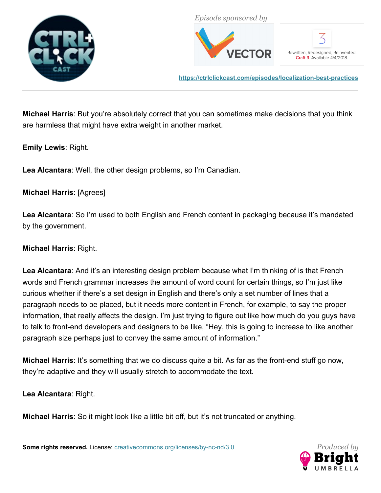



Rewritten, Redesigned, Reinvented. Craft 3. Available 4/4/2018.

**<https://ctrlclickcast.com/episodes/localization-best-practices>**

**Michael Harris**: But you're absolutely correct that you can sometimes make decisions that you think are harmless that might have extra weight in another market.

**Emily Lewis**: Right.

**Lea Alcantara**: Well, the other design problems, so I'm Canadian.

**Michael Harris**: [Agrees]

**Lea Alcantara**: So I'm used to both English and French content in packaging because it's mandated by the government.

**Michael Harris**: Right.

**Lea Alcantara**: And it's an interesting design problem because what I'm thinking of is that French words and French grammar increases the amount of word count for certain things, so I'm just like curious whether if there's a set design in English and there's only a set number of lines that a paragraph needs to be placed, but it needs more content in French, for example, to say the proper information, that really affects the design. I'm just trying to figure out like how much do you guys have to talk to front-end developers and designers to be like, "Hey, this is going to increase to like another paragraph size perhaps just to convey the same amount of information."

**Michael Harris**: It's something that we do discuss quite a bit. As far as the front-end stuff go now, they're adaptive and they will usually stretch to accommodate the text.

**Lea Alcantara**: Right.

**Michael Harris**: So it might look like a little bit off, but it's not truncated or anything.

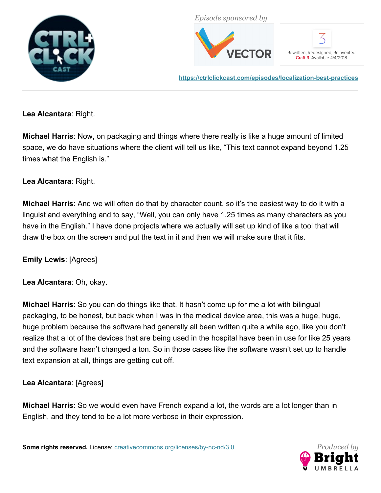



Rewritten, Redesigned, Reinvented. Craft 3. Available 4/4/2018.

**<https://ctrlclickcast.com/episodes/localization-best-practices>**

**Lea Alcantara**: Right.

**Michael Harris**: Now, on packaging and things where there really is like a huge amount of limited space, we do have situations where the client will tell us like, "This text cannot expand beyond 1.25 times what the English is."

**Lea Alcantara**: Right.

**Michael Harris**: And we will often do that by character count, so it's the easiest way to do it with a linguist and everything and to say, "Well, you can only have 1.25 times as many characters as you have in the English." I have done projects where we actually will set up kind of like a tool that will draw the box on the screen and put the text in it and then we will make sure that it fits.

**Emily Lewis**: [Agrees]

**Lea Alcantara**: Oh, okay.

**Michael Harris**: So you can do things like that. It hasn't come up for me a lot with bilingual packaging, to be honest, but back when I was in the medical device area, this was a huge, huge, huge problem because the software had generally all been written quite a while ago, like you don't realize that a lot of the devices that are being used in the hospital have been in use for like 25 years and the software hasn't changed a ton. So in those cases like the software wasn't set up to handle text expansion at all, things are getting cut off.

**Lea Alcantara**: [Agrees]

**Michael Harris**: So we would even have French expand a lot, the words are a lot longer than in English, and they tend to be a lot more verbose in their expression.

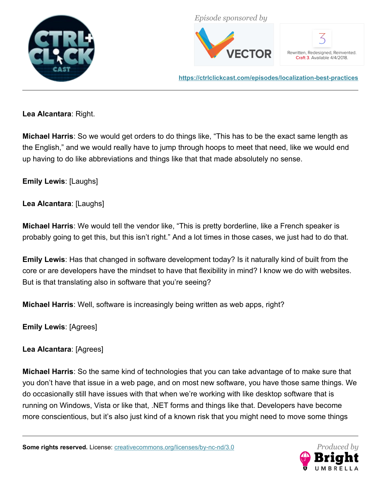



Rewritten, Redesigned, Reinvented. Craft 3. Available 4/4/2018.

**<https://ctrlclickcast.com/episodes/localization-best-practices>**

**Lea Alcantara**: Right.

**Michael Harris**: So we would get orders to do things like, "This has to be the exact same length as the English," and we would really have to jump through hoops to meet that need, like we would end up having to do like abbreviations and things like that that made absolutely no sense.

**Emily Lewis**: [Laughs]

**Lea Alcantara**: [Laughs]

**Michael Harris**: We would tell the vendor like, "This is pretty borderline, like a French speaker is probably going to get this, but this isn't right." And a lot times in those cases, we just had to do that.

**Emily Lewis**: Has that changed in software development today? Is it naturally kind of built from the core or are developers have the mindset to have that flexibility in mind? I know we do with websites. But is that translating also in software that you're seeing?

**Michael Harris**: Well, software is increasingly being written as web apps, right?

**Emily Lewis**: [Agrees]

**Lea Alcantara**: [Agrees]

**Michael Harris**: So the same kind of technologies that you can take advantage of to make sure that you don't have that issue in a web page, and on most new software, you have those same things. We do occasionally still have issues with that when we're working with like desktop software that is running on Windows, Vista or like that, .NET forms and things like that. Developers have become more conscientious, but it's also just kind of a known risk that you might need to move some things

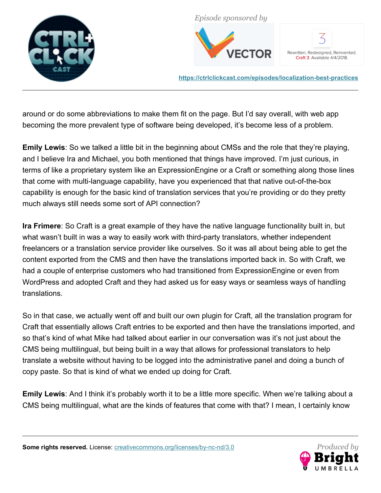



Rewritten, Redesigned, Reinvented. Craft 3. Available 4/4/2018.

**<https://ctrlclickcast.com/episodes/localization-best-practices>**

around or do some abbreviations to make them fit on the page. But I'd say overall, with web app becoming the more prevalent type of software being developed, it's become less of a problem.

**Emily Lewis**: So we talked a little bit in the beginning about CMSs and the role that they're playing, and I believe Ira and Michael, you both mentioned that things have improved. I'm just curious, in terms of like a proprietary system like an ExpressionEngine or a Craft or something along those lines that come with multi-language capability, have you experienced that that native out-of-the-box capability is enough for the basic kind of translation services that you're providing or do they pretty much always still needs some sort of API connection?

**Ira Frimere**: So Craft is a great example of they have the native language functionality built in, but what wasn't built in was a way to easily work with third-party translators, whether independent freelancers or a translation service provider like ourselves. So it was all about being able to get the content exported from the CMS and then have the translations imported back in. So with Craft, we had a couple of enterprise customers who had transitioned from ExpressionEngine or even from WordPress and adopted Craft and they had asked us for easy ways or seamless ways of handling translations.

So in that case, we actually went off and built our own plugin for Craft, all the translation program for Craft that essentially allows Craft entries to be exported and then have the translations imported, and so that's kind of what Mike had talked about earlier in our conversation was it's not just about the CMS being multilingual, but being built in a way that allows for professional translators to help translate a website without having to be logged into the administrative panel and doing a bunch of copy paste. So that is kind of what we ended up doing for Craft.

**Emily Lewis**: And I think it's probably worth it to be a little more specific. When we're talking about a CMS being multilingual, what are the kinds of features that come with that? I mean, I certainly know

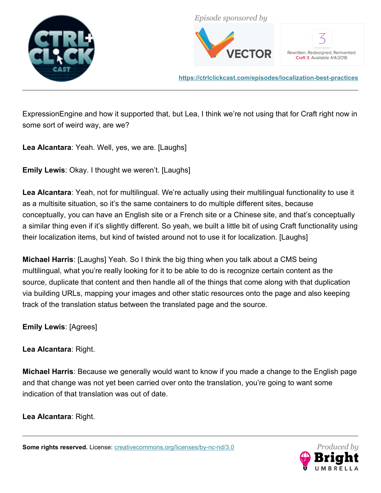



Rewritten, Redesigned, Reinvented. Craft 3. Available 4/4/2018.

**<https://ctrlclickcast.com/episodes/localization-best-practices>**

ExpressionEngine and how it supported that, but Lea, I think we're not using that for Craft right now in some sort of weird way, are we?

**Lea Alcantara**: Yeah. Well, yes, we are. [Laughs]

**Emily Lewis**: Okay. I thought we weren't. [Laughs]

**Lea Alcantara**: Yeah, not for multilingual. We're actually using their multilingual functionality to use it as a multisite situation, so it's the same containers to do multiple different sites, because conceptually, you can have an English site or a French site or a Chinese site, and that's conceptually a similar thing even if it's slightly different. So yeah, we built a little bit of using Craft functionality using their localization items, but kind of twisted around not to use it for localization. [Laughs]

**Michael Harris**: [Laughs] Yeah. So I think the big thing when you talk about a CMS being multilingual, what you're really looking for it to be able to do is recognize certain content as the source, duplicate that content and then handle all of the things that come along with that duplication via building URLs, mapping your images and other static resources onto the page and also keeping track of the translation status between the translated page and the source.

**Emily Lewis**: [Agrees]

**Lea Alcantara**: Right.

**Michael Harris**: Because we generally would want to know if you made a change to the English page and that change was not yet been carried over onto the translation, you're going to want some indication of that translation was out of date.

**Lea Alcantara**: Right.

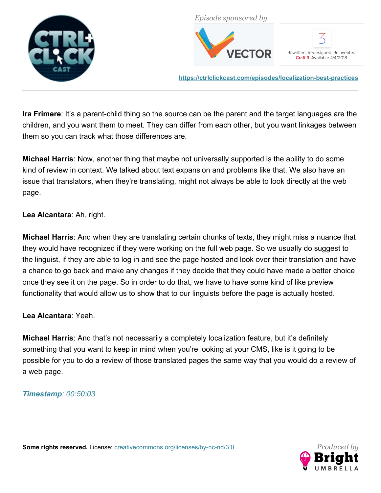



Rewritten, Redesigned, Reinvented. Craft 3. Available 4/4/2018.

**<https://ctrlclickcast.com/episodes/localization-best-practices>**

**Ira Frimere**: It's a parent-child thing so the source can be the parent and the target languages are the children, and you want them to meet. They can differ from each other, but you want linkages between them so you can track what those differences are.

**Michael Harris**: Now, another thing that maybe not universally supported is the ability to do some kind of review in context. We talked about text expansion and problems like that. We also have an issue that translators, when they're translating, might not always be able to look directly at the web page.

**Lea Alcantara**: Ah, right.

**Michael Harris**: And when they are translating certain chunks of texts, they might miss a nuance that they would have recognized if they were working on the full web page. So we usually do suggest to the linguist, if they are able to log in and see the page hosted and look over their translation and have a chance to go back and make any changes if they decide that they could have made a better choice once they see it on the page. So in order to do that, we have to have some kind of like preview functionality that would allow us to show that to our linguists before the page is actually hosted.

**Lea Alcantara**: Yeah.

**Michael Harris**: And that's not necessarily a completely localization feature, but it's definitely something that you want to keep in mind when you're looking at your CMS, like is it going to be possible for you to do a review of those translated pages the same way that you would do a review of a web page.

#### *Timestamp: 00:50:03*

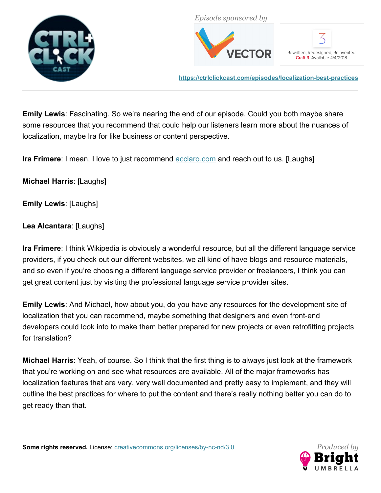



Rewritten, Redesigned, Reinvented. Craft 3. Available 4/4/2018.

**<https://ctrlclickcast.com/episodes/localization-best-practices>**

**Emily Lewis**: Fascinating. So we're nearing the end of our episode. Could you both maybe share some resources that you recommend that could help our listeners learn more about the nuances of localization, maybe Ira for like business or content perspective.

**Ira Frimere**: I mean, I love to just recommend [acclaro.com](http://www.acclaro.com/) and reach out to us. [Laughs]

**Michael Harris**: [Laughs]

**Emily Lewis**: [Laughs]

**Lea Alcantara**: [Laughs]

**Ira Frimere**: I think Wikipedia is obviously a wonderful resource, but all the different language service providers, if you check out our different websites, we all kind of have blogs and resource materials, and so even if you're choosing a different language service provider or freelancers, I think you can get great content just by visiting the professional language service provider sites.

**Emily Lewis**: And Michael, how about you, do you have any resources for the development site of localization that you can recommend, maybe something that designers and even front-end developers could look into to make them better prepared for new projects or even retrofitting projects for translation?

**Michael Harris**: Yeah, of course. So I think that the first thing is to always just look at the framework that you're working on and see what resources are available. All of the major frameworks has localization features that are very, very well documented and pretty easy to implement, and they will outline the best practices for where to put the content and there's really nothing better you can do to get ready than that.

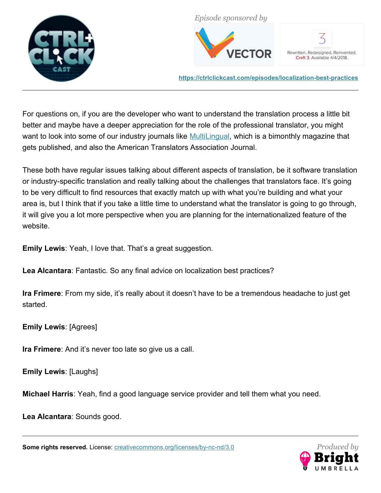



Rewritten, Redesigned, Reinvented. Craft 3. Available 4/4/2018.

**<https://ctrlclickcast.com/episodes/localization-best-practices>**

For questions on, if you are the developer who want to understand the translation process a little bit better and maybe have a deeper appreciation for the role of the professional translator, you might want to look into some of our industry journals like [MultiLingual,](https://multilingual.com/) which is a bimonthly magazine that gets published, and also the American Translators Association Journal.

These both have regular issues talking about different aspects of translation, be it software translation or industry-specific translation and really talking about the challenges that translators face. It's going to be very difficult to find resources that exactly match up with what you're building and what your area is, but I think that if you take a little time to understand what the translator is going to go through, it will give you a lot more perspective when you are planning for the internationalized feature of the website.

**Emily Lewis**: Yeah, I love that. That's a great suggestion.

**Lea Alcantara**: Fantastic. So any final advice on localization best practices?

**Ira Frimere**: From my side, it's really about it doesn't have to be a tremendous headache to just get started.

**Emily Lewis**: [Agrees]

**Ira Frimere**: And it's never too late so give us a call.

**Emily Lewis**: [Laughs]

**Michael Harris**: Yeah, find a good language service provider and tell them what you need.

**Lea Alcantara**: Sounds good.

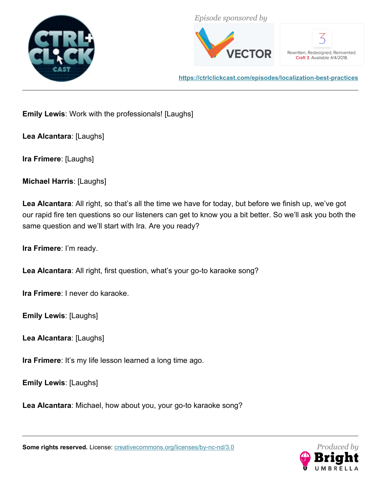



Rewritten, Redesigned, Reinvented. Craft 3. Available 4/4/2018.

**<https://ctrlclickcast.com/episodes/localization-best-practices>**

**Emily Lewis**: Work with the professionals! [Laughs]

**Lea Alcantara**: [Laughs]

**Ira Frimere**: [Laughs]

**Michael Harris**: [Laughs]

**Lea Alcantara**: All right, so that's all the time we have for today, but before we finish up, we've got our rapid fire ten questions so our listeners can get to know you a bit better. So we'll ask you both the same question and we'll start with Ira. Are you ready?

**Ira Frimere**: I'm ready.

**Lea Alcantara**: All right, first question, what's your go-to karaoke song?

**Ira Frimere**: I never do karaoke.

**Emily Lewis**: [Laughs]

**Lea Alcantara**: [Laughs]

**Ira Frimere**: It's my life lesson learned a long time ago.

**Emily Lewis**: [Laughs]

**Lea Alcantara**: Michael, how about you, your go-to karaoke song?

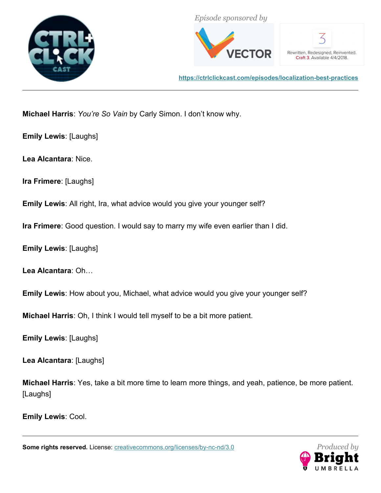



Rewritten, Redesigned, Reinvented. Craft 3. Available 4/4/2018.

**<https://ctrlclickcast.com/episodes/localization-best-practices>**

**Michael Harris**: *You're So Vain* by Carly Simon. I don't know why.

**Emily Lewis**: [Laughs]

**Lea Alcantara**: Nice.

**Ira Frimere**: [Laughs]

**Emily Lewis**: All right, Ira, what advice would you give your younger self?

**Ira Frimere**: Good question. I would say to marry my wife even earlier than I did.

**Emily Lewis**: [Laughs]

**Lea Alcantara**: Oh…

**Emily Lewis**: How about you, Michael, what advice would you give your younger self?

**Michael Harris**: Oh, I think I would tell myself to be a bit more patient.

**Emily Lewis**: [Laughs]

**Lea Alcantara**: [Laughs]

**Michael Harris**: Yes, take a bit more time to learn more things, and yeah, patience, be more patient. [Laughs]

**Emily Lewis**: Cool.

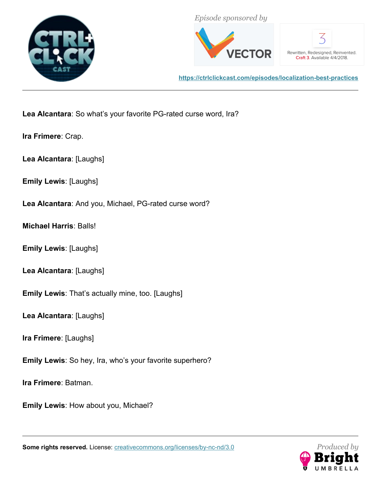



Rewritten, Redesigned, Reinvented. Craft 3. Available 4/4/2018.

**<https://ctrlclickcast.com/episodes/localization-best-practices>**

**Lea Alcantara**: So what's your favorite PG-rated curse word, Ira?

**Ira Frimere**: Crap.

**Lea Alcantara**: [Laughs]

**Emily Lewis**: [Laughs]

**Lea Alcantara**: And you, Michael, PG-rated curse word?

**Michael Harris**: Balls!

**Emily Lewis**: [Laughs]

**Lea Alcantara**: [Laughs]

**Emily Lewis**: That's actually mine, too. [Laughs]

**Lea Alcantara**: [Laughs]

**Ira Frimere**: [Laughs]

**Emily Lewis**: So hey, Ira, who's your favorite superhero?

**Ira Frimere**: Batman.

**Emily Lewis**: How about you, Michael?

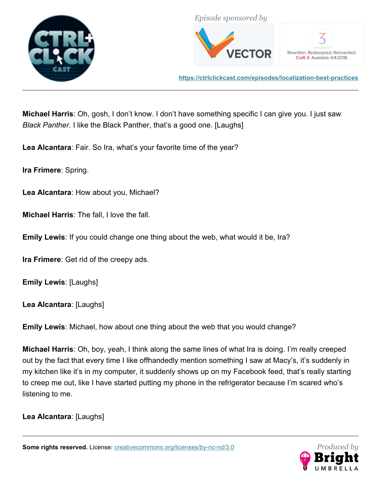



Rewritten, Redesigned, Reinvented. Craft 3. Available 4/4/2018.

**<https://ctrlclickcast.com/episodes/localization-best-practices>**

**Michael Harris**: Oh, gosh, I don't know. I don't have something specific I can give you. I just saw *Black Panther*. I like the Black Panther, that's a good one. [Laughs]

**Lea Alcantara**: Fair. So Ira, what's your favorite time of the year?

**Ira Frimere**: Spring.

**Lea Alcantara**: How about you, Michael?

**Michael Harris**: The fall, I love the fall.

**Emily Lewis**: If you could change one thing about the web, what would it be, Ira?

**Ira Frimere**: Get rid of the creepy ads.

**Emily Lewis**: [Laughs]

**Lea Alcantara**: [Laughs]

**Emily Lewis**: Michael, how about one thing about the web that you would change?

**Michael Harris**: Oh, boy, yeah, I think along the same lines of what Ira is doing. I'm really creeped out by the fact that every time I like offhandedly mention something I saw at Macy's, it's suddenly in my kitchen like it's in my computer, it suddenly shows up on my Facebook feed, that's really starting to creep me out, like I have started putting my phone in the refrigerator because I'm scared who's listening to me.

**Lea Alcantara**: [Laughs]

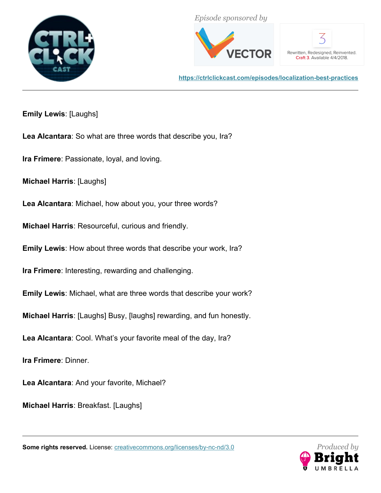



Rewritten, Redesigned, Reinvented. Craft 3. Available 4/4/2018.

**<https://ctrlclickcast.com/episodes/localization-best-practices>**

**Emily Lewis**: [Laughs]

**Lea Alcantara**: So what are three words that describe you, Ira?

**Ira Frimere**: Passionate, loyal, and loving.

**Michael Harris**: [Laughs]

**Lea Alcantara**: Michael, how about you, your three words?

**Michael Harris**: Resourceful, curious and friendly.

**Emily Lewis**: How about three words that describe your work, Ira?

**Ira Frimere**: Interesting, rewarding and challenging.

**Emily Lewis**: Michael, what are three words that describe your work?

**Michael Harris**: [Laughs] Busy, [laughs] rewarding, and fun honestly.

**Lea Alcantara**: Cool. What's your favorite meal of the day, Ira?

**Ira Frimere**: Dinner.

**Lea Alcantara**: And your favorite, Michael?

**Michael Harris**: Breakfast. [Laughs]

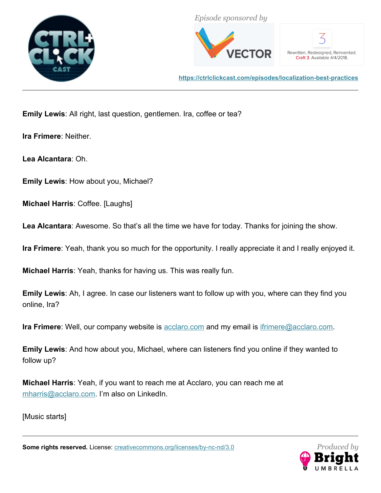



Rewritten, Redesigned, Reinvented. Craft 3. Available 4/4/2018.

**<https://ctrlclickcast.com/episodes/localization-best-practices>**

**Emily Lewis**: All right, last question, gentlemen. Ira, coffee or tea?

**Ira Frimere**: Neither.

**Lea Alcantara**: Oh.

**Emily Lewis**: How about you, Michael?

**Michael Harris**: Coffee. [Laughs]

**Lea Alcantara**: Awesome. So that's all the time we have for today. Thanks for joining the show.

**Ira Frimere**: Yeah, thank you so much for the opportunity. I really appreciate it and I really enjoyed it.

**Michael Harris**: Yeah, thanks for having us. This was really fun.

**Emily Lewis**: Ah, I agree. In case our listeners want to follow up with you, where can they find you online, Ira?

**Ira Frimere**: Well, our company website is **acclaro.com** and my email is *ifrimere@acclaro.com.* 

**Emily Lewis**: And how about you, Michael, where can listeners find you online if they wanted to follow up?

**Michael Harris**: Yeah, if you want to reach me at Acclaro, you can reach me at [mharris@acclaro.com.](mailto:mharris@acclaro.com) I'm also on LinkedIn.

[Music starts]

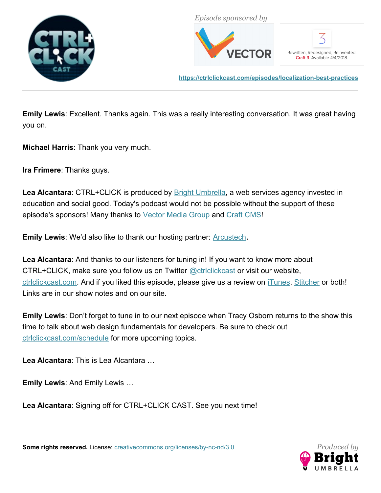



Rewritten, Redesigned, Reinvented. Craft 3. Available 4/4/2018.

**<https://ctrlclickcast.com/episodes/localization-best-practices>**

**Emily Lewis**: Excellent. Thanks again. This was a really interesting conversation. It was great having you on.

**Michael Harris**: Thank you very much.

**Ira Frimere**: Thanks guys.

Lea Alcantara: CTRL+CLICK is produced by **Bright Umbrella**, a web services agency invested in education and social good. Today's podcast would not be possible without the support of these episode's sponsors! Many thanks to [Vector Media Group](https://www.vectormediagroup.com/) and [Craft CMS!](https://craftcms.com/)

**Emily Lewis:** We'd also like to thank our hosting partner: **[Arcustech](http://arcustech.com/)**.

**Lea Alcantara**: And thanks to our listeners for tuning in! If you want to know more about CTRL+CLICK, make sure you follow us on Twitter @ctriclickcast or visit our website, ctriclickcast.com. And if you liked this episode, please give us a review on [iTunes,](https://itunes.apple.com/us/podcast/ctrl+click-cast/id446900959) [Stitcher](http://www.stitcher.com/s?fid=49341&refid=stpr) or both! Links are in our show notes and on our site.

**Emily Lewis**: Don't forget to tune in to our next episode when Tracy Osborn returns to the show this time to talk about web design fundamentals for developers. Be sure to check out [ctrlclickcast.com/schedule](http://ctrlclickcast.com/schedule) for more upcoming topics.

**Lea Alcantara**: This is Lea Alcantara …

**Emily Lewis**: And Emily Lewis …

**Lea Alcantara**: Signing off for CTRL+CLICK CAST. See you next time!